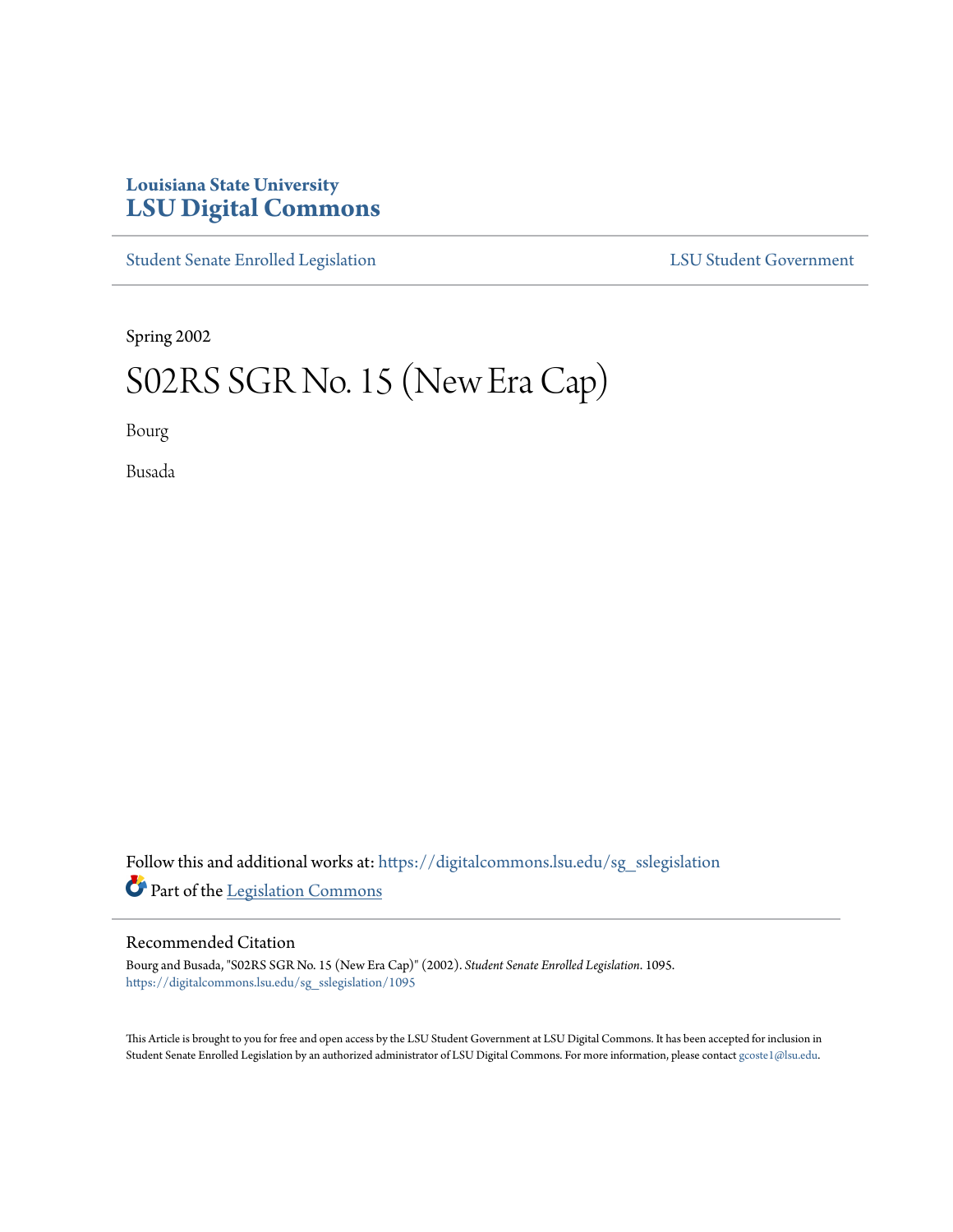# **Louisiana State University [LSU Digital Commons](https://digitalcommons.lsu.edu?utm_source=digitalcommons.lsu.edu%2Fsg_sslegislation%2F1095&utm_medium=PDF&utm_campaign=PDFCoverPages)**

[Student Senate Enrolled Legislation](https://digitalcommons.lsu.edu/sg_sslegislation?utm_source=digitalcommons.lsu.edu%2Fsg_sslegislation%2F1095&utm_medium=PDF&utm_campaign=PDFCoverPages) [LSU Student Government](https://digitalcommons.lsu.edu/sg?utm_source=digitalcommons.lsu.edu%2Fsg_sslegislation%2F1095&utm_medium=PDF&utm_campaign=PDFCoverPages)

Spring 2002

# S02RS SGR No. 15 (New Era Cap)

Bourg

Busada

Follow this and additional works at: [https://digitalcommons.lsu.edu/sg\\_sslegislation](https://digitalcommons.lsu.edu/sg_sslegislation?utm_source=digitalcommons.lsu.edu%2Fsg_sslegislation%2F1095&utm_medium=PDF&utm_campaign=PDFCoverPages) Part of the [Legislation Commons](http://network.bepress.com/hgg/discipline/859?utm_source=digitalcommons.lsu.edu%2Fsg_sslegislation%2F1095&utm_medium=PDF&utm_campaign=PDFCoverPages)

#### Recommended Citation

Bourg and Busada, "S02RS SGR No. 15 (New Era Cap)" (2002). *Student Senate Enrolled Legislation*. 1095. [https://digitalcommons.lsu.edu/sg\\_sslegislation/1095](https://digitalcommons.lsu.edu/sg_sslegislation/1095?utm_source=digitalcommons.lsu.edu%2Fsg_sslegislation%2F1095&utm_medium=PDF&utm_campaign=PDFCoverPages)

This Article is brought to you for free and open access by the LSU Student Government at LSU Digital Commons. It has been accepted for inclusion in Student Senate Enrolled Legislation by an authorized administrator of LSU Digital Commons. For more information, please contact [gcoste1@lsu.edu.](mailto:gcoste1@lsu.edu)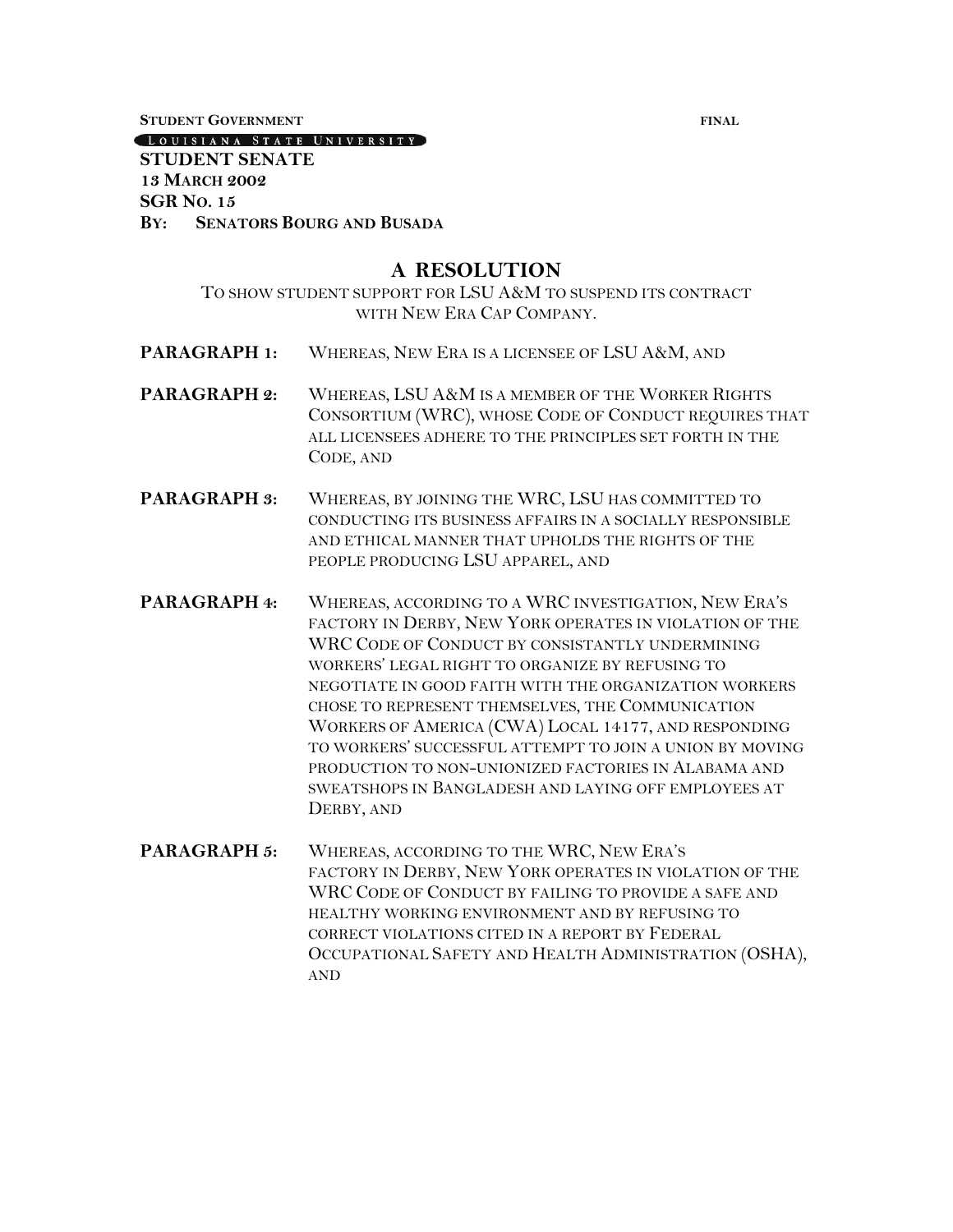**STUDENT GOVERNMENT FINAL**

LOUISIANA STATE UNIVERSITY

#### **STUDENT SENATE 13 MARCH 2002 SGR NO. 15 BY: SENATORS BOURG AND BUSADA**

## **A RESOLUTION**

#### TO SHOW STUDENT SUPPORT FOR LSU A&M TO SUSPEND ITS CONTRACT WITH NEW ERA CAP COMPANY.

- **PARAGRAPH 1:** WHEREAS, NEW ERA IS A LICENSEE OF LSU A&M, AND
- **PARAGRAPH 2:** WHEREAS, LSU A&M IS A MEMBER OF THE WORKER RIGHTS CONSORTIUM (WRC), WHOSE CODE OF CONDUCT REQUIRES THAT ALL LICENSEES ADHERE TO THE PRINCIPLES SET FORTH IN THE CODE, AND
- **PARAGRAPH 3:** WHEREAS, BY JOINING THE WRC, LSU HAS COMMITTED TO CONDUCTING ITS BUSINESS AFFAIRS IN A SOCIALLY RESPONSIBLE AND ETHICAL MANNER THAT UPHOLDS THE RIGHTS OF THE PEOPLE PRODUCING LSU APPAREL, AND
- **PARAGRAPH 4:** WHEREAS, ACCORDING TO A WRC INVESTIGATION, NEW ERA'S FACTORY IN DERBY, NEW YORK OPERATES IN VIOLATION OF THE WRC CODE OF CONDUCT BY CONSISTANTLY UNDERMINING WORKERS' LEGAL RIGHT TO ORGANIZE BY REFUSING TO NEGOTIATE IN GOOD FAITH WITH THE ORGANIZATION WORKERS CHOSE TO REPRESENT THEMSELVES, THE COMMUNICATION WORKERS OF AMERICA (CWA) LOCAL 14177, AND RESPONDING TO WORKERS' SUCCESSFUL ATTEMPT TO JOIN A UNION BY MOVING PRODUCTION TO NON-UNIONIZED FACTORIES IN ALABAMA AND SWEATSHOPS IN BANGLADESH AND LAYING OFF EMPLOYEES AT DERBY, AND
- **PARAGRAPH 5:** WHEREAS, ACCORDING TO THE WRC, NEW ERA'S FACTORY IN DERBY, NEW YORK OPERATES IN VIOLATION OF THE WRC CODE OF CONDUCT BY FAILING TO PROVIDE A SAFE AND HEALTHY WORKING ENVIRONMENT AND BY REFUSING TO CORRECT VIOLATIONS CITED IN A REPORT BY FEDERAL OCCUPATIONAL SAFETY AND HEALTH ADMINISTRATION (OSHA), AND